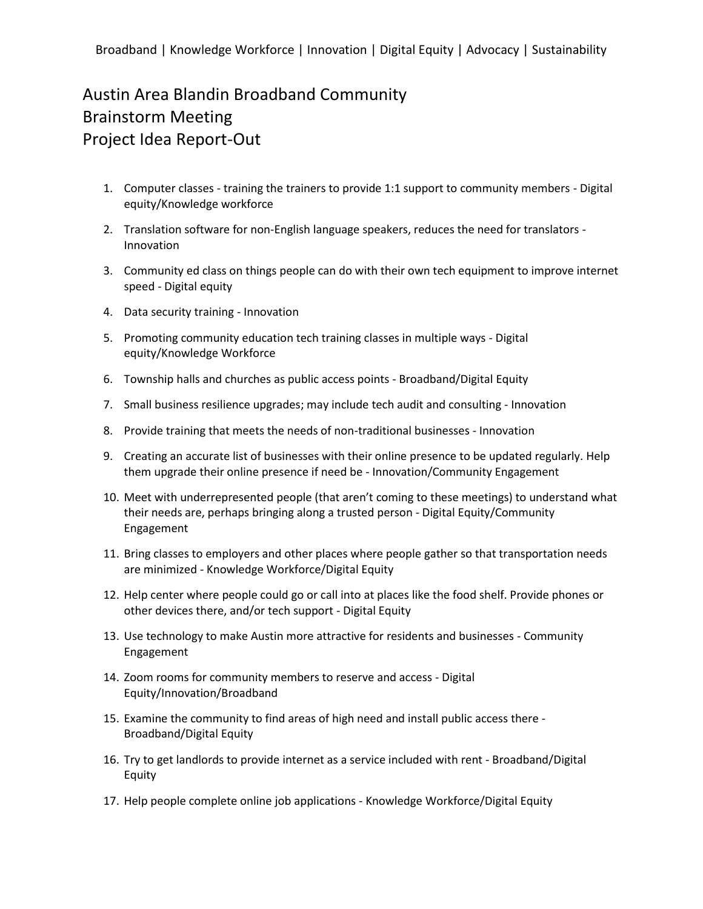## Austin Area Blandin Broadband Community Brainstorm Meeting Project Idea Report-Out

- 1. Computer classes training the trainers to provide 1:1 support to community members Digital equity/Knowledge workforce
- 2. Translation software for non-English language speakers, reduces the need for translators Innovation
- 3. Community ed class on things people can do with their own tech equipment to improve internet speed - Digital equity
- 4. Data security training Innovation
- 5. Promoting community education tech training classes in multiple ways Digital equity/Knowledge Workforce
- 6. Township halls and churches as public access points Broadband/Digital Equity
- 7. Small business resilience upgrades; may include tech audit and consulting Innovation
- 8. Provide training that meets the needs of non-traditional businesses Innovation
- 9. Creating an accurate list of businesses with their online presence to be updated regularly. Help them upgrade their online presence if need be - Innovation/Community Engagement
- 10. Meet with underrepresented people (that aren't coming to these meetings) to understand what their needs are, perhaps bringing along a trusted person - Digital Equity/Community Engagement
- 11. Bring classes to employers and other places where people gather so that transportation needs are minimized - Knowledge Workforce/Digital Equity
- 12. Help center where people could go or call into at places like the food shelf. Provide phones or other devices there, and/or tech support - Digital Equity
- 13. Use technology to make Austin more attractive for residents and businesses Community Engagement
- 14. Zoom rooms for community members to reserve and access Digital Equity/Innovation/Broadband
- 15. Examine the community to find areas of high need and install public access there Broadband/Digital Equity
- 16. Try to get landlords to provide internet as a service included with rent Broadband/Digital Equity
- 17. Help people complete online job applications Knowledge Workforce/Digital Equity